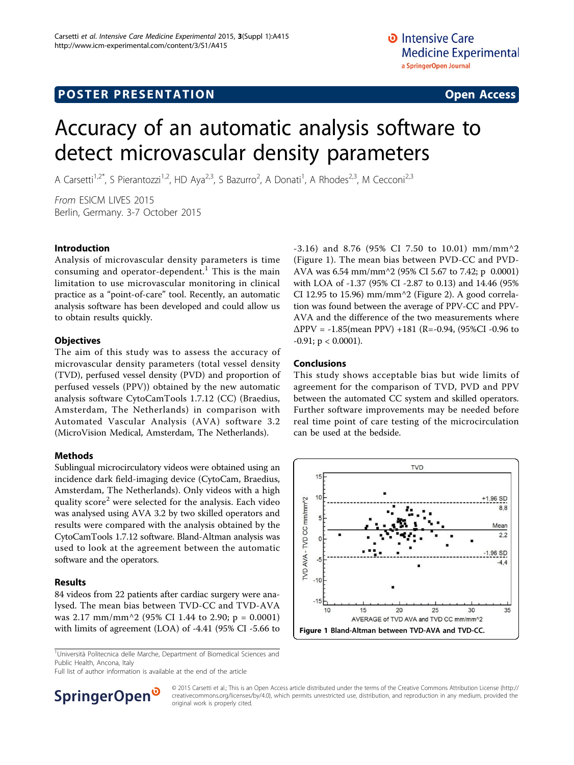# Accuracy of an automatic analysis software to detect microvascular density parameters

A Carsetti<sup>1,2\*</sup>, S Pierantozzi<sup>1,2</sup>, HD Aya<sup>2,3</sup>, S Bazurro<sup>2</sup>, A Donati<sup>1</sup>, A Rhodes<sup>2,3</sup>, M Cecconi<sup>2,3</sup>

From ESICM LIVES 2015 Berlin, Germany. 3-7 October 2015

## Introduction

Analysis of microvascular density parameters is time consuming and operator-dependent.<sup>1</sup> This is the main limitation to use microvascular monitoring in clinical practice as a "point-of-care" tool. Recently, an automatic analysis software has been developed and could allow us to obtain results quickly.

## **Objectives**

The aim of this study was to assess the accuracy of microvascular density parameters (total vessel density (TVD), perfused vessel density (PVD) and proportion of perfused vessels (PPV)) obtained by the new automatic analysis software CytoCamTools 1.7.12 (CC) (Braedius, Amsterdam, The Netherlands) in comparison with Automated Vascular Analysis (AVA) software 3.2 (MicroVision Medical, Amsterdam, The Netherlands).

# Methods

Sublingual microcirculatory videos were obtained using an incidence dark field-imaging device (CytoCam, Braedius, Amsterdam, The Netherlands). Only videos with a high quality score<sup>2</sup> were selected for the analysis. Each video was analysed using AVA 3.2 by two skilled operators and results were compared with the analysis obtained by the CytoCamTools 1.7.12 software. Bland-Altman analysis was used to look at the agreement between the automatic software and the operators.

# Results

84 videos from 22 patients after cardiac surgery were analysed. The mean bias between TVD-CC and TVD-AVA was 2.17 mm/mm^2 (95% CI 1.44 to 2.90; p = 0.0001) with limits of agreement (LOA) of -4.41 (95% CI -5.66 to

<sup>1</sup>Università Politecnica delle Marche, Department of Biomedical Sciences and Public Health, Ancona, Italy

Full list of author information is available at the end of the article



-3.16) and 8.76 (95% CI 7.50 to 10.01) mm/mm^2 (Figure 1). The mean bias between PVD-CC and PVD-AVA was 6.54 mm/mm^2 (95% CI 5.67 to 7.42; p 0.0001) with LOA of -1.37 (95% CI -2.87 to 0.13) and 14.46 (95% CI 12.95 to 15.96) mm/mm $\textdegree$ 2 (Figure [2](#page-1-0)). A good correlation was found between the average of PPV-CC and PPV-AVA and the difference of the two measurements where  $\Delta PPV = -1.85$ (mean PPV) +181 (R=-0.94, (95%CI -0.96 to  $-0.91$ ; p < 0.0001).

## Conclusions

This study shows acceptable bias but wide limits of agreement for the comparison of TVD, PVD and PPV between the automated CC system and skilled operators. Further software improvements may be needed before real time point of care testing of the microcirculation can be used at the bedside.



© 2015 Carsetti et al.; This is an Open Access article distributed under the terms of the Creative Commons Attribution License [\(http://](http://creativecommons.org/licenses/by/4.0) [creativecommons.org/licenses/by/4.0](http://creativecommons.org/licenses/by/4.0)), which permits unrestricted use, distribution, and reproduction in any medium, provided the original work is properly cited.